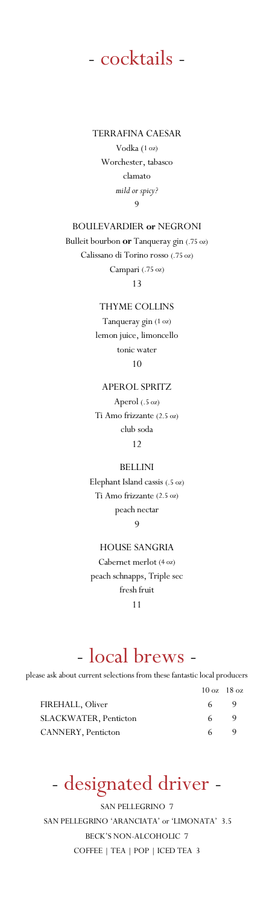

TERRAFINA CAESAR Vodka (1 oz) Worchester, tabasco clamato *mild or spicy?* 9

### BOULEVARDIER **or** NEGRONI

Bulleit bourbon **or** Tanqueray gin (.75 oz) Calissano di Torino rosso (.75 oz) Campari (.75 oz) 13

> THYME COLLINS Tanqueray gin (1 oz) lemon juice, limoncello tonic water 10

### APEROL SPRITZ

Aperol (.5 oz) Ti Amo frizzante (2.5 oz) club soda 12

#### BELLINI

Elephant Island cassis (.5 oz) Ti Amo frizzante (2.5 oz) peach nectar

9

HOUSE SANGRIA Cabernet merlot (4 oz) peach schnapps, Triple sec fresh fruit

11

## - local brews -

please ask about current selections from these fantastic local producers

|                              |     | $10 \text{ oz}$ $18 \text{ oz}$ |
|------------------------------|-----|---------------------------------|
| FIREHALL, Oliver             | 6 - | 9                               |
| <b>SLACKWATER, Penticton</b> | 6   |                                 |
| CANNERY, Penticton           | 6.  |                                 |

## - designated driver -

SAN PELLEGRINO 7 SAN PELLEGRINO 'ARANCIATA' or 'LIMONATA' 3.5 BECK'S NON-ALCOHOLIC 7 COFFEE | TEA | POP | ICED TEA 3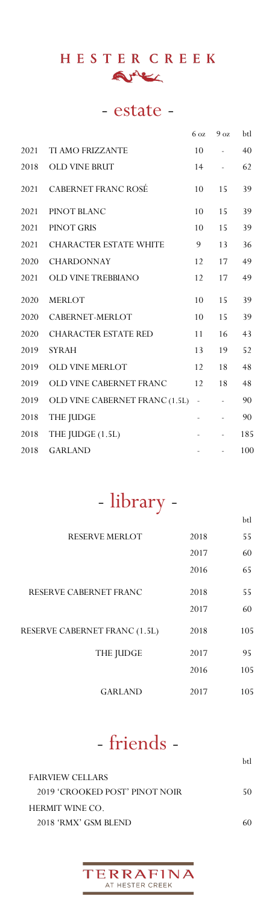## HESTER CREEK Arter

## - estate -

|      |                                | 6 <sub>oz</sub>          | 9 <sub>oz</sub> | btl |
|------|--------------------------------|--------------------------|-----------------|-----|
| 2021 | TI AMO FRIZZANTE               | 10                       | $\blacksquare$  | 40  |
| 2018 | <b>OLD VINE BRUT</b>           | 14                       | $\equiv$        | 62  |
| 2021 | <b>CABERNET FRANC ROSÉ</b>     | 10                       | 15              | 39  |
| 2021 | PINOT BLANC                    | 10                       | 15              | 39  |
| 2021 | PINOT GRIS                     | 10                       | 15              | 39  |
| 2021 | CHARACTER ESTATE WHITE         | 9                        | 13              | 36  |
| 2020 | <b>CHARDONNAY</b>              | 12                       | 17              | 49  |
| 2021 | <b>OLD VINE TREBBIANO</b>      | 12                       | 17              | 49  |
| 2020 | <b>MERLOT</b>                  | 10                       | 15              | 39  |
| 2020 | CABERNET-MERLOT                | 10                       | 15              | 39  |
| 2020 | <b>CHARACTER ESTATE RED</b>    | 11                       | 16              | 43  |
| 2019 | <b>SYRAH</b>                   | 13                       | 19              | 52  |
| 2019 | OLD VINE MERLOT                | 12                       | 18              | 48  |
| 2019 | OLD VINE CABERNET FRANC        | 12                       | 18              | 48  |
| 2019 | OLD VINE CABERNET FRANC (1.5L) | $\frac{1}{2}$            | $\frac{1}{2}$   | 90  |
| 2018 | THE JUDGE                      | $\overline{\phantom{0}}$ |                 | 90  |
| 2018 | THE JUDGE (1.5L)               |                          |                 | 185 |
| 2018 | <b>GARLAND</b>                 |                          |                 | 100 |

# - library -

|                               |      | btl |
|-------------------------------|------|-----|
| <b>RESERVE MERLOT</b>         | 2018 | 55  |
|                               | 2017 | 60  |
|                               | 2016 | 65  |
| RESERVE CABERNET FRANC        | 2018 | 55  |
|                               | 2017 | 60  |
| RESERVE CABERNET FRANC (1.5L) | 2018 | 105 |
| THE JUDGE                     | 2017 | 95  |
|                               | 2016 | 105 |
| <b>GARLAND</b>                | 2017 | 105 |

## - friends -

| htl |
|-----|
|     |
| 50  |
|     |
|     |
|     |